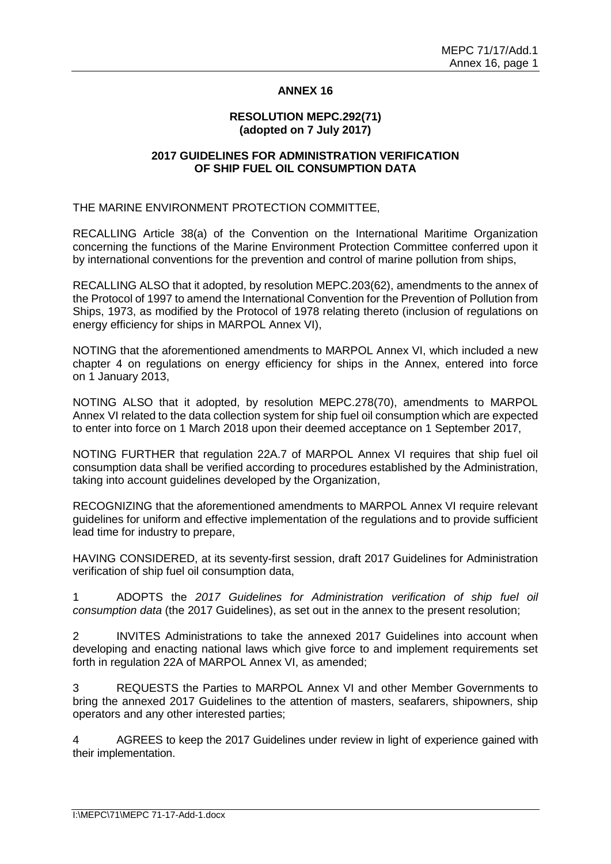## **ANNEX 16**

#### **RESOLUTION MEPC.292(71) (adopted on 7 July 2017)**

### **2017 GUIDELINES FOR ADMINISTRATION VERIFICATION OF SHIP FUEL OIL CONSUMPTION DATA**

THE MARINE ENVIRONMENT PROTECTION COMMITTEE,

RECALLING Article 38(a) of the Convention on the International Maritime Organization concerning the functions of the Marine Environment Protection Committee conferred upon it by international conventions for the prevention and control of marine pollution from ships,

RECALLING ALSO that it adopted, by resolution MEPC.203(62), amendments to the annex of the Protocol of 1997 to amend the International Convention for the Prevention of Pollution from Ships, 1973, as modified by the Protocol of 1978 relating thereto (inclusion of regulations on energy efficiency for ships in MARPOL Annex VI),

NOTING that the aforementioned amendments to MARPOL Annex VI, which included a new chapter 4 on regulations on energy efficiency for ships in the Annex, entered into force on 1 January 2013,

NOTING ALSO that it adopted, by resolution MEPC.278(70), amendments to MARPOL Annex VI related to the data collection system for ship fuel oil consumption which are expected to enter into force on 1 March 2018 upon their deemed acceptance on 1 September 2017,

NOTING FURTHER that regulation 22A.7 of MARPOL Annex VI requires that ship fuel oil consumption data shall be verified according to procedures established by the Administration, taking into account guidelines developed by the Organization,

RECOGNIZING that the aforementioned amendments to MARPOL Annex VI require relevant guidelines for uniform and effective implementation of the regulations and to provide sufficient lead time for industry to prepare,

HAVING CONSIDERED, at its seventy-first session, draft 2017 Guidelines for Administration verification of ship fuel oil consumption data,

1 ADOPTS the *2017 Guidelines for Administration verification of ship fuel oil consumption data* (the 2017 Guidelines), as set out in the annex to the present resolution;

2 INVITES Administrations to take the annexed 2017 Guidelines into account when developing and enacting national laws which give force to and implement requirements set forth in regulation 22A of MARPOL Annex VI, as amended;

3 REQUESTS the Parties to MARPOL Annex VI and other Member Governments to bring the annexed 2017 Guidelines to the attention of masters, seafarers, shipowners, ship operators and any other interested parties;

4 AGREES to keep the 2017 Guidelines under review in light of experience gained with their implementation.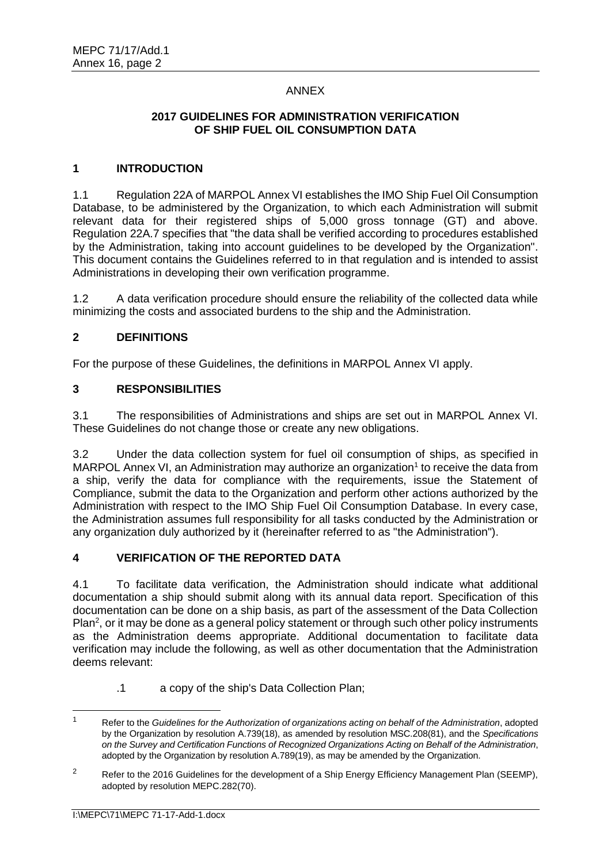# ANNEX

## **2017 GUIDELINES FOR ADMINISTRATION VERIFICATION OF SHIP FUEL OIL CONSUMPTION DATA**

# **1 INTRODUCTION**

1.1 Regulation 22A of MARPOL Annex VI establishes the IMO Ship Fuel Oil Consumption Database, to be administered by the Organization, to which each Administration will submit relevant data for their registered ships of 5,000 gross tonnage (GT) and above. Regulation 22A.7 specifies that "the data shall be verified according to procedures established by the Administration, taking into account guidelines to be developed by the Organization". This document contains the Guidelines referred to in that regulation and is intended to assist Administrations in developing their own verification programme.

1.2 A data verification procedure should ensure the reliability of the collected data while minimizing the costs and associated burdens to the ship and the Administration.

## **2 DEFINITIONS**

For the purpose of these Guidelines, the definitions in MARPOL Annex VI apply.

## **3 RESPONSIBILITIES**

3.1 The responsibilities of Administrations and ships are set out in MARPOL Annex VI. These Guidelines do not change those or create any new obligations.

3.2 Under the data collection system for fuel oil consumption of ships, as specified in MARPOL Annex VI, an Administration may authorize an organization<sup>1</sup> to receive the data from a ship, verify the data for compliance with the requirements, issue the Statement of Compliance, submit the data to the Organization and perform other actions authorized by the Administration with respect to the IMO Ship Fuel Oil Consumption Database. In every case, the Administration assumes full responsibility for all tasks conducted by the Administration or any organization duly authorized by it (hereinafter referred to as "the Administration").

# **4 VERIFICATION OF THE REPORTED DATA**

4.1 To facilitate data verification, the Administration should indicate what additional documentation a ship should submit along with its annual data report. Specification of this documentation can be done on a ship basis, as part of the assessment of the Data Collection Plan<sup>2</sup>, or it may be done as a general policy statement or through such other policy instruments as the Administration deems appropriate. Additional documentation to facilitate data verification may include the following, as well as other documentation that the Administration deems relevant:

.1 a copy of the ship's Data Collection Plan;

<sup>1</sup> Refer to the *Guidelines for the Authorization of organizations acting on behalf of the Administration*, adopted by the Organization by resolution A.739(18), as amended by resolution MSC.208(81), and the *Specifications on the Survey and Certification Functions of Recognized Organizations Acting on Behalf of the Administration*, adopted by the Organization by resolution A.789(19), as may be amended by the Organization.

<sup>&</sup>lt;sup>2</sup> Refer to the 2016 Guidelines for the development of a Ship Energy Efficiency Management Plan (SEEMP), adopted by resolution MEPC.282(70).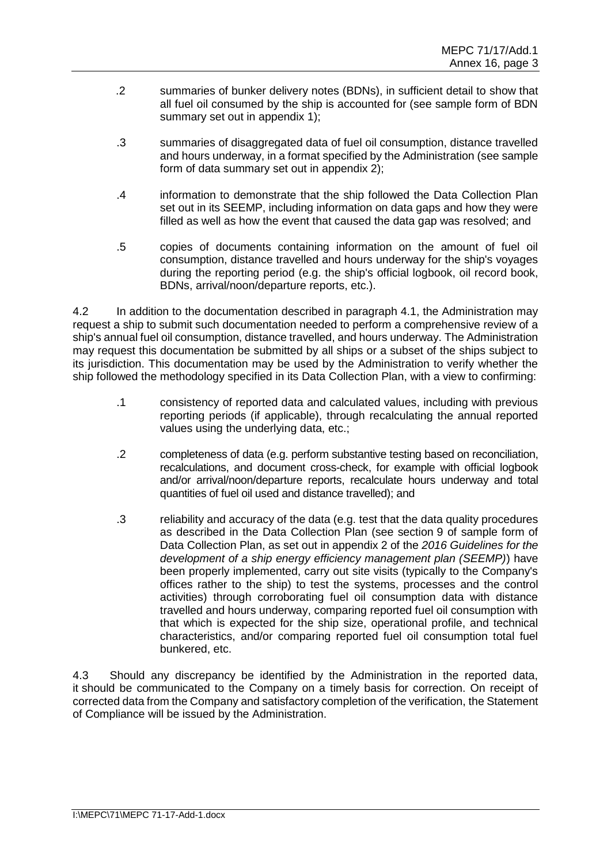- .2 summaries of bunker delivery notes (BDNs), in sufficient detail to show that all fuel oil consumed by the ship is accounted for (see sample form of BDN summary set out in appendix 1);
- .3 summaries of disaggregated data of fuel oil consumption, distance travelled and hours underway, in a format specified by the Administration (see sample form of data summary set out in appendix 2);
- .4 information to demonstrate that the ship followed the Data Collection Plan set out in its SEEMP, including information on data gaps and how they were filled as well as how the event that caused the data gap was resolved; and
- .5 copies of documents containing information on the amount of fuel oil consumption, distance travelled and hours underway for the ship's voyages during the reporting period (e.g. the ship's official logbook, oil record book, BDNs, arrival/noon/departure reports, etc.).

4.2 In addition to the documentation described in paragraph 4.1, the Administration may request a ship to submit such documentation needed to perform a comprehensive review of a ship's annual fuel oil consumption, distance travelled, and hours underway. The Administration may request this documentation be submitted by all ships or a subset of the ships subject to its jurisdiction. This documentation may be used by the Administration to verify whether the ship followed the methodology specified in its Data Collection Plan, with a view to confirming:

- .1 consistency of reported data and calculated values, including with previous reporting periods (if applicable), through recalculating the annual reported values using the underlying data, etc.;
- .2 completeness of data (e.g. perform substantive testing based on reconciliation, recalculations, and document cross-check, for example with official logbook and/or arrival/noon/departure reports, recalculate hours underway and total quantities of fuel oil used and distance travelled); and
- .3 reliability and accuracy of the data (e.g. test that the data quality procedures as described in the Data Collection Plan (see section 9 of sample form of Data Collection Plan, as set out in appendix 2 of the *2016 Guidelines for the development of a ship energy efficiency management plan (SEEMP)*) have been properly implemented, carry out site visits (typically to the Company's offices rather to the ship) to test the systems, processes and the control activities) through corroborating fuel oil consumption data with distance travelled and hours underway, comparing reported fuel oil consumption with that which is expected for the ship size, operational profile, and technical characteristics, and/or comparing reported fuel oil consumption total fuel bunkered, etc.

4.3 Should any discrepancy be identified by the Administration in the reported data, it should be communicated to the Company on a timely basis for correction. On receipt of corrected data from the Company and satisfactory completion of the verification, the Statement of Compliance will be issued by the Administration.